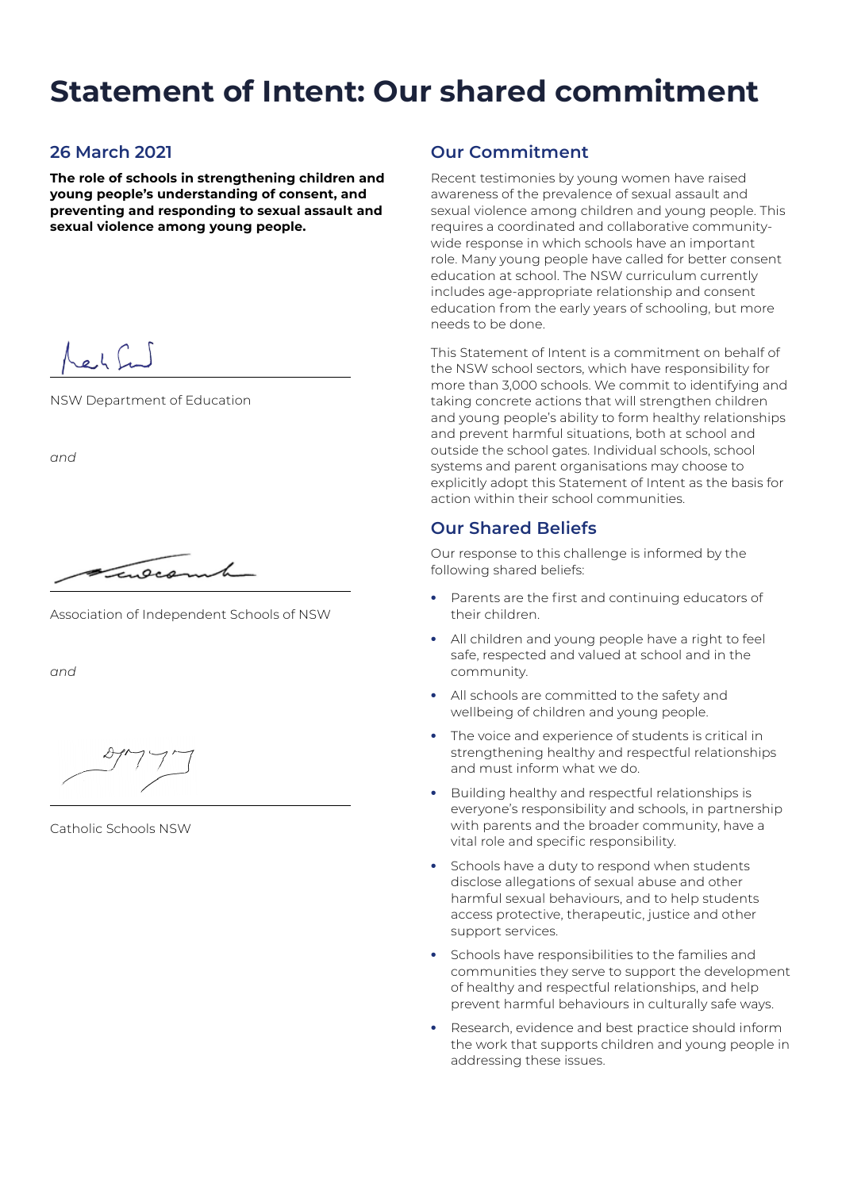# **Statement of Intent: Our shared commitment**

## **26 March 2021**

**The role of schools in strengthening children and young people's understanding of consent, and preventing and responding to sexual assault and sexual violence among young people.**

rech fund

NSW Department of Education

*and*

 $\sqrt{a}$ 

Association of Independent Schools of NSW

*and*

Catholic Schools NSW

## **Our Commitment**

Recent testimonies by young women have raised awareness of the prevalence of sexual assault and sexual violence among children and young people. This requires a coordinated and collaborative communitywide response in which schools have an important role. Many young people have called for better consent education at school. The NSW curriculum currently includes age-appropriate relationship and consent education from the early years of schooling, but more needs to be done.

This Statement of Intent is a commitment on behalf of the NSW school sectors, which have responsibility for more than 3,000 schools. We commit to identifying and taking concrete actions that will strengthen children and young people's ability to form healthy relationships and prevent harmful situations, both at school and outside the school gates. Individual schools, school systems and parent organisations may choose to explicitly adopt this Statement of Intent as the basis for action within their school communities.

## **Our Shared Beliefs**

Our response to this challenge is informed by the following shared beliefs:

- Parents are the first and continuing educators of their children.
- All children and young people have a right to feel safe, respected and valued at school and in the community.
- All schools are committed to the safety and wellbeing of children and young people.
- The voice and experience of students is critical in strengthening healthy and respectful relationships and must inform what we do.
- Building healthy and respectful relationships is everyone's responsibility and schools, in partnership with parents and the broader community, have a vital role and specific responsibility.
- Schools have a duty to respond when students disclose allegations of sexual abuse and other harmful sexual behaviours, and to help students access protective, therapeutic, justice and other support services.
- Schools have responsibilities to the families and communities they serve to support the development of healthy and respectful relationships, and help prevent harmful behaviours in culturally safe ways.
- Research, evidence and best practice should inform the work that supports children and young people in addressing these issues.